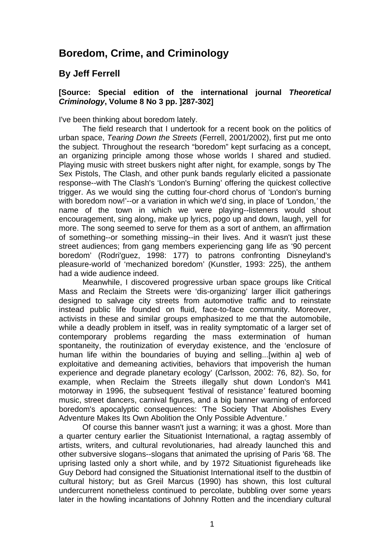# **Boredom, Crime, and Criminology**

# **By Jeff Ferrell**

#### **[Source: Special edition of the international journal** *Theoretical Criminology***, Volume 8 No 3 pp. ]287-302]**

I've been thinking about boredom lately.

The field research that I undertook for a recent book on the politics of urban space, *Tearing Down the Streets* (Ferrell, 2001/2002), first put me onto the subject. Throughout the research "boredom" kept surfacing as a concept, an organizing principle among those whose worlds I shared and studied. Playing music with street buskers night after night, for example, songs by The Sex Pistols, The Clash, and other punk bands regularly elicited a passionate response--with The Clash's 'London's Burning' offering the quickest collective trigger. As we would sing the cutting four-chord chorus of 'London's burning with boredom now!'--or a variation in which we'd sing, in place of *'*London,*'* the name of the town in which we were playing--listeners would shout encouragement, sing along, make up lyrics, pogo up and down, laugh, yell for more. The song seemed to serve for them as a sort of anthem, an affirmation of something--or something missing--in their lives. And it wasn't just these street audiences; from gang members experiencing gang life as '90 percent boredom' (Rodri'guez, 1998: 177) to patrons confronting Disneyland's pleasure-world of 'mechanized boredom' (Kunstler, 1993: 225), the anthem had a wide audience indeed.

Meanwhile, I discovered progressive urban space groups like Critical Mass and Reclaim the Streets were 'dis-organizing' larger illicit gatherings designed to salvage city streets from automotive traffic and to reinstate instead public life founded on fluid, face-to-face community. Moreover, activists in these and similar groups emphasized to me that the automobile, while a deadly problem in itself, was in reality symptomatic of a larger set of contemporary problems regarding the mass extermination of human spontaneity, the routinization of everyday existence, and the 'enclosure of human life within the boundaries of buying and selling...[within a] web of exploitative and demeaning activities, behaviors that impoverish the human experience and degrade planetary ecology' (Carlsson, 2002: 76, 82). So, for example, when Reclaim the Streets illegally shut down London's M41 motorway in 1996, the subsequent *'*festival of resistance*'* featured booming music, street dancers, carnival figures, and a big banner warning of enforced boredom's apocalyptic consequences: *'*The Society That Abolishes Every Adventure Makes Its Own Abolition the Only Possible Adventure.*'*

Of course this banner wasn't just a warning; it was a ghost. More than a quarter century earlier the Situationist International, a ragtag assembly of artists, writers, and cultural revolutionaries, had already launched this and other subversive slogans--slogans that animated the uprising of Paris '68. The uprising lasted only a short while, and by 1972 Situationist figureheads like Guy Debord had consigned the Situationist International itself to the dustbin of cultural history; but as Greil Marcus (1990) has shown, this lost cultural undercurrent nonetheless continued to percolate, bubbling over some years later in the howling incantations of Johnny Rotten and the incendiary cultural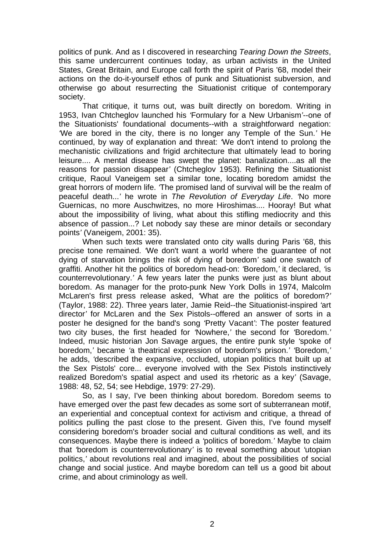politics of punk. And as I discovered in researching *Tearing Down the Streets*, this same undercurrent continues today, as urban activists in the United States, Great Britain, and Europe call forth the spirit of Paris '68, model their actions on the do-it-yourself ethos of punk and Situationist subversion, and otherwise go about resurrecting the Situationist critique of contemporary society.

That critique, it turns out, was built directly on boredom. Writing in 1953, Ivan Chtcheglov launched his *'*Formulary for a New Urbanism*'*--one of the Situationists' foundational documents--with a straightforward negation: *'*We are bored in the city, there is no longer any Temple of the Sun.*'* He continued, by way of explanation and threat: *'*We don't intend to prolong the mechanistic civilizations and frigid architecture that ultimately lead to boring leisure.... A mental disease has swept the planet: banalization....as all the reasons for passion disappear*'* (Chtcheglov 1953). Refining the Situationist critique, Raoul Vaneigem set a similar tone, locating boredom amidst the great horrors of modern life. *'*The promised land of survival will be the realm of peaceful death...*'* he wrote in *The Revolution of Everyday Life*. *'*No more Guernicas, no more Auschwitzes, no more Hiroshimas.... Hooray! But what about the impossibility of living, what about this stifling mediocrity and this absence of passion...? Let nobody say these are minor details or secondary points*'* (Vaneigem, 2001: 35).

When such texts were translated onto city walls during Paris '68, this precise tone remained. *'*We don't want a world where the guarantee of not dying of starvation brings the risk of dying of boredom*'* said one swatch of graffiti. Another hit the politics of boredom head-on: *'*Boredom,*'* it declared, *'*is counterrevolutionary.*'* A few years later the punks were just as blunt about boredom. As manager for the proto-punk New York Dolls in 1974, Malcolm McLaren's first press release asked, *'*What are the politics of boredom?*'* (Taylor, 1988: 22). Three years later, Jamie Reid--the Situationist-inspired *'*art director*'* for McLaren and the Sex Pistols--offered an answer of sorts in a poster he designed for the band's song *'*Pretty Vacant*'*: The poster featured two city buses, the first headed for *'*Nowhere,*'* the second for *'*Boredom.*'* Indeed, music historian Jon Savage argues, the entire punk style *'*spoke of boredom,*'* became *'*a theatrical expression of boredom's prison.*' '*Boredom,*'* he adds, *'*described the expansive, occluded, utopian politics that built up at the Sex Pistols' core... everyone involved with the Sex Pistols instinctively realized Boredom's spatial aspect and used its rhetoric as a key*'* (Savage, 1988: 48, 52, 54; see Hebdige, 1979: 27-29).

So, as I say, I've been thinking about boredom. Boredom seems to have emerged over the past few decades as some sort of subterranean motif, an experiential and conceptual context for activism and critique, a thread of politics pulling the past close to the present. Given this, I've found myself considering boredom's broader social and cultural conditions as well, and its consequences. Maybe there is indeed a *'*politics of boredom.*'* Maybe to claim that *'*boredom is counterrevolutionary*'* is to reveal something about *'*utopian politics,*'* about revolutions real and imagined, about the possibilities of social change and social justice. And maybe boredom can tell us a good bit about crime, and about criminology as well.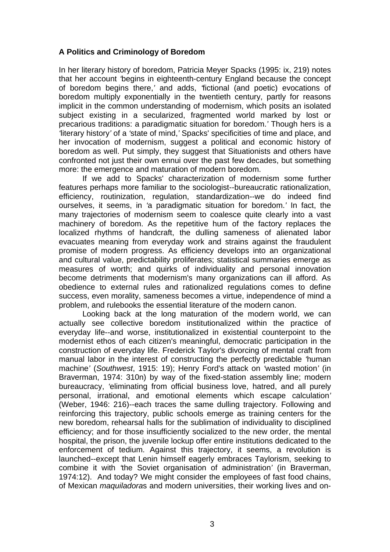## **A Politics and Criminology of Boredom**

In her literary history of boredom, Patricia Meyer Spacks (1995: ix, 219) notes that her account *'*begins in eighteenth-century England because the concept of boredom begins there,*'* and adds, *'*fictional (and poetic) evocations of boredom multiply exponentially in the twentieth century, partly for reasons implicit in the common understanding of modernism, which posits an isolated subject existing in a secularized, fragmented world marked by lost or precarious traditions: a paradigmatic situation for boredom.*'* Though hers is a *'*literary history*'* of a *'*state of mind,*'* Spacks' specificities of time and place, and her invocation of modernism, suggest a political and economic history of boredom as well. Put simply, they suggest that Situationists and others have confronted not just their own ennui over the past few decades, but something more: the emergence and maturation of modern boredom.

If we add to Spacks' characterization of modernism some further features perhaps more familiar to the sociologist--bureaucratic rationalization, efficiency, routinization, regulation, standardization--we do indeed find ourselves, it seems, in *'*a paradigmatic situation for boredom.*'* In fact, the many trajectories of modernism seem to coalesce quite clearly into a vast machinery of boredom. As the repetitive hum of the factory replaces the localized rhythms of handcraft, the dulling sameness of alienated labor evacuates meaning from everyday work and strains against the fraudulent promise of modern progress. As efficiency develops into an organizational and cultural value, predictability proliferates; statistical summaries emerge as measures of worth; and quirks of individuality and personal innovation become detriments that modernism's many organizations can ill afford. As obedience to external rules and rationalized regulations comes to define success, even morality, sameness becomes a virtue, independence of mind a problem, and rulebooks the essential literature of the modern canon.

Looking back at the long maturation of the modern world, we can actually see collective boredom institutionalized within the practice of everyday life--and worse, institutionalized in existential counterpoint to the modernist ethos of each citizen's meaningful, democratic participation in the construction of everyday life. Frederick Taylor's divorcing of mental craft from manual labor in the interest of constructing the perfectly predictable *'*human machine*'* (*Southwest*, 1915: 19); Henry Ford's attack on *'*wasted motion*'* (in Braverman, 1974: 310n) by way of the fixed-station assembly line; modern bureaucracy, *'*eliminating from official business love, hatred, and all purely personal, irrational, and emotional elements which escape calculation*'* (Weber, 1946: 216)--each traces the same dulling trajectory. Following and reinforcing this trajectory, public schools emerge as training centers for the new boredom, rehearsal halls for the sublimation of individuality to disciplined efficiency; and for those insufficiently socialized to the new order, the mental hospital, the prison, the juvenile lockup offer entire institutions dedicated to the enforcement of tedium. Against this trajectory, it seems, a revolution is launched--except that Lenin himself eagerly embraces Taylorism, seeking to combine it with *'*the Soviet organisation of administration*'* (in Braverman, 1974:12). And today? We might consider the employees of fast food chains, of Mexican *maquiladora*s and modern universities, their working lives and on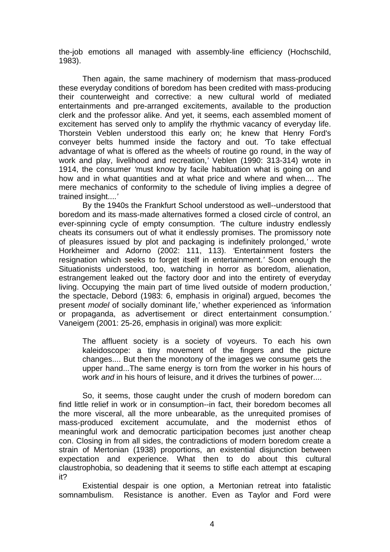the-job emotions all managed with assembly-line efficiency (Hochschild, 1983).

Then again, the same machinery of modernism that mass-produced these everyday conditions of boredom has been credited with mass-producing their counterweight and corrective: a new cultural world of mediated entertainments and pre-arranged excitements, available to the production clerk and the professor alike. And yet, it seems, each assembled moment of excitement has served only to amplify the rhythmic vacancy of everyday life. Thorstein Veblen understood this early on; he knew that Henry Ford's conveyer belts hummed inside the factory and out. *'*To take effectual advantage of what is offered as the wheels of routine go round, in the way of work and play, livelihood and recreation,*'* Veblen (1990: 313-314) wrote in 1914, the consumer *'*must know by facile habituation what is going on and how and in what quantities and at what price and where and when.... The mere mechanics of conformity to the schedule of living implies a degree of trained insight....*'*

By the 1940s the Frankfurt School understood as well--understood that boredom and its mass-made alternatives formed a closed circle of control, an ever-spinning cycle of empty consumption. *'*The culture industry endlessly cheats its consumers out of what it endlessly promises. The promissory note of pleasures issued by plot and packaging is indefinitely prolonged,*'* wrote Horkheimer and Adorno (2002: 111, 113). *'*Entertainment fosters the resignation which seeks to forget itself in entertainment.*'* Soon enough the Situationists understood, too, watching in horror as boredom, alienation, estrangement leaked out the factory door and into the entirety of everyday living. Occupying *'*the main part of time lived outside of modern production,*'* the spectacle, Debord (1983: 6, emphasis in original) argued, becomes *'*the present *model* of socially dominant life,*'* whether experienced as *'*information or propaganda, as advertisement or direct entertainment consumption.*'* Vaneigem (2001: 25-26, emphasis in original) was more explicit:

The affluent society is a society of voyeurs. To each his own kaleidoscope: a tiny movement of the fingers and the picture changes.... But then the monotony of the images we consume gets the upper hand...The same energy is torn from the worker in his hours of work *and* in his hours of leisure, and it drives the turbines of power....

So, it seems, those caught under the crush of modern boredom can find little relief in work or in consumption--in fact, their boredom becomes all the more visceral, all the more unbearable, as the unrequited promises of mass-produced excitement accumulate, and the modernist ethos of meaningful work and democratic participation becomes just another cheap con. Closing in from all sides, the contradictions of modern boredom create a strain of Mertonian (1938) proportions, an existential disjunction between expectation and experience. What then to do about this cultural claustrophobia, so deadening that it seems to stifle each attempt at escaping it?

Existential despair is one option, a Mertonian retreat into fatalistic somnambulism. Resistance is another. Even as Taylor and Ford were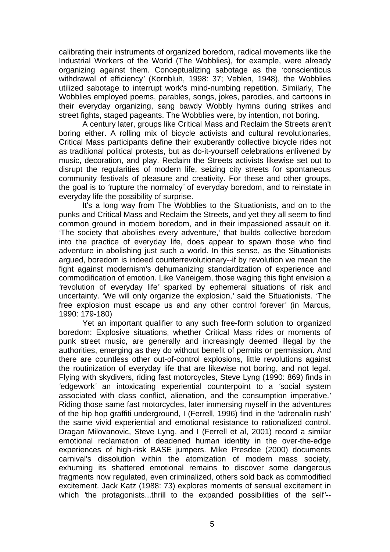calibrating their instruments of organized boredom, radical movements like the Industrial Workers of the World (The Wobblies), for example, were already organizing against them. Conceptualizing sabotage as the *'*conscientious withdrawal of efficiency*'* (Kornbluh, 1998: 37; Veblen, 1948), the Wobblies utilized sabotage to interrupt work's mind-numbing repetition. Similarly, The Wobblies employed poems, parables, songs, jokes, parodies, and cartoons in their everyday organizing, sang bawdy Wobbly hymns during strikes and street fights, staged pageants. The Wobblies were, by intention, not boring.

A century later, groups like Critical Mass and Reclaim the Streets aren't boring either. A rolling mix of bicycle activists and cultural revolutionaries, Critical Mass participants define their exuberantly collective bicycle rides not as traditional political protests, but as do-it-yourself celebrations enlivened by music, decoration, and play. Reclaim the Streets activists likewise set out to disrupt the regularities of modern life, seizing city streets for spontaneous community festivals of pleasure and creativity. For these and other groups, the goal is to *'*rupture the normalcy*'* of everyday boredom, and to reinstate in everyday life the possibility of surprise.

It's a long way from The Wobblies to the Situationists, and on to the punks and Critical Mass and Reclaim the Streets, and yet they all seem to find common ground in modern boredom, and in their impassioned assault on it. *'*The society that abolishes every adventure,*'* that builds collective boredom into the practice of everyday life, does appear to spawn those who find adventure in abolishing just such a world. In this sense, as the Situationists argued, boredom is indeed counterrevolutionary--if by revolution we mean the fight against modernism's dehumanizing standardization of experience and commodification of emotion. Like Vaneigem, those waging this fight envision a *'*revolution of everyday life*'* sparked by ephemeral situations of risk and uncertainty. *'*We will only organize the explosion,*'* said the Situationists. *'*The free explosion must escape us and any other control forever*'* (in Marcus, 1990: 179-180)

Yet an important qualifier to any such free-form solution to organized boredom: Explosive situations, whether Critical Mass rides or moments of punk street music, are generally and increasingly deemed illegal by the authorities, emerging as they do without benefit of permits or permission. And there are countless other out-of-control explosions, little revolutions against the routinization of everyday life that are likewise not boring, and not legal. Flying with skydivers, riding fast motorcycles, Steve Lyng (1990: 869) finds in *'*edgework*'* an intoxicating experiential counterpoint to a *'*social system associated with class conflict, alienation, and the consumption imperative.*'* Riding those same fast motorcycles, later immersing myself in the adventures of the hip hop graffiti underground, I (Ferrell, 1996) find in the *'*adrenalin rush*'* the same vivid experiential and emotional resistance to rationalized control. Dragan Milovanovic, Steve Lyng, and I (Ferrell et al, 2001) record a similar emotional reclamation of deadened human identity in the over-the-edge experiences of high-risk BASE jumpers. Mike Presdee (2000) documents carnival's dissolution within the atomization of modern mass society, exhuming its shattered emotional remains to discover some dangerous fragments now regulated, even criminalized, others sold back as commodified excitement. Jack Katz (1988: 73) explores moments of sensual excitement in which *'*the protagonists...thrill to the expanded possibilities of the self*'*--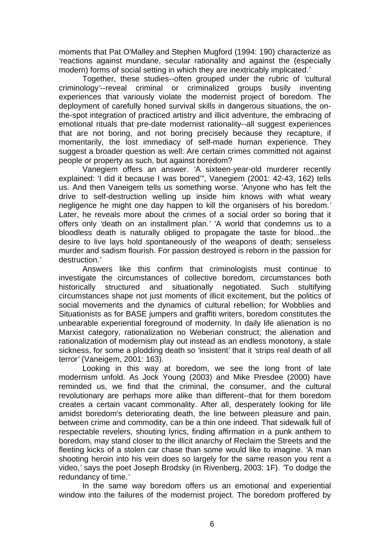moments that Pat O'Malley and Stephen Mugford (1994: 190) characterize as *'*reactions against mundane, secular rationality and against the (especially modern) forms of social setting in which they are inextricably implicated.*'*

Together, these studies--often grouped under the rubric of *'*cultural criminology*'*--reveal criminal or criminalized groups busily inventing experiences that variously violate the modernist project of boredom. The deployment of carefully honed survival skills in dangerous situations, the onthe-spot integration of practiced artistry and illicit adventure, the embracing of emotional rituals that pre-date modernist rationality--all suggest experiences that are not boring, and not boring precisely because they recapture, if momentarily, the lost immediacy of self-made human experience. They suggest a broader question as well: Are certain crimes committed not against people or property as such, but against boredom?

Vanegiem offers an answer. *'*A sixteen-year-old murderer recently explained: 'I did it because I was bored'", Vanegiem (2001: 42-43, 162) tells us. And then Vaneigem tells us something worse. *'*Anyone who has felt the drive to self-destruction welling up inside him knows with what weary negligence he might one day happen to kill the organisers of his boredom.*'* Later, he reveals more about the crimes of a social order so boring that it offers only *'*death on an installment plan.*' '*A world that condemns us to a bloodless death is naturally obliged to propagate the taste for blood...the desire to live lays hold spontaneously of the weapons of death; senseless murder and sadism flourish. For passion destroyed is reborn in the passion for destruction.*'*

Answers like this confirm that criminologists must continue to investigate the circumstances of collective boredom, circumstances both historically structured and situationally negotiated. Such stultifying circumstances shape not just moments of illicit excitement, but the politics of social movements and the dynamics of cultural rebellion; for Wobblies and Situationists as for BASE jumpers and graffiti writers, boredom constitutes the unbearable experiential foreground of modernity. In daily life alienation is no Marxist category, rationalization no Weberian construct; the alienation and rationalization of modernism play out instead as an endless monotony, a stale sickness, for some a plodding death so *'*insistent*'* that it *'*strips real death of all terror*'* (Vaneigem, 2001: 163).

Looking in this way at boredom, we see the long front of late modernism unfold. As Jock Young (2003) and Mike Presdee (2000) have reminded us, we find that the criminal, the consumer, and the cultural revolutionary are perhaps more alike than different--that for them boredom creates a certain vacant commonality. After all, desperately looking for life amidst boredom's deteriorating death, the line between pleasure and pain, between crime and commodity, can be a thin one indeed. That sidewalk full of respectable revelers, shouting lyrics, finding affirmation in a punk anthem to boredom, may stand closer to the illicit anarchy of Reclaim the Streets and the fleeting kicks of a stolen car chase than some would like to imagine. *'*A man shooting heroin into his vein does so largely for the same reason you rent a video,*'* says the poet Joseph Brodsky (in Rivenberg, 2003: 1F). *'*To dodge the redundancy of time.*'*

In the same way boredom offers us an emotional and experiential window into the failures of the modernist project. The boredom proffered by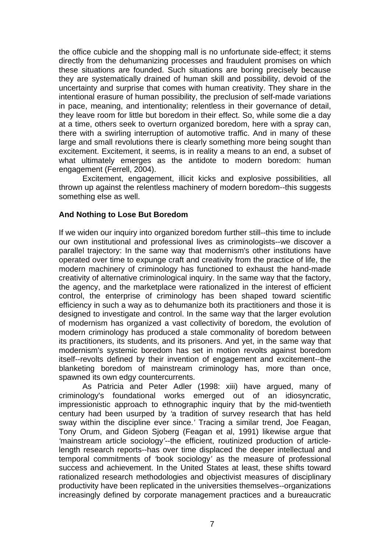the office cubicle and the shopping mall is no unfortunate side-effect; it stems directly from the dehumanizing processes and fraudulent promises on which these situations are founded. Such situations are boring precisely because they are systematically drained of human skill and possibility, devoid of the uncertainty and surprise that comes with human creativity. They share in the intentional erasure of human possibility, the preclusion of self-made variations in pace, meaning, and intentionality; relentless in their governance of detail, they leave room for little but boredom in their effect. So, while some die a day at a time, others seek to overturn organized boredom, here with a spray can, there with a swirling interruption of automotive traffic. And in many of these large and small revolutions there is clearly something more being sought than excitement. Excitement, it seems, is in reality a means to an end, a subset of what ultimately emerges as the antidote to modern boredom: human engagement (Ferrell, 2004).

Excitement, engagement, illicit kicks and explosive possibilities, all thrown up against the relentless machinery of modern boredom--this suggests something else as well.

#### **And Nothing to Lose But Boredom**

If we widen our inquiry into organized boredom further still--this time to include our own institutional and professional lives as criminologists--we discover a parallel trajectory: In the same way that modernism's other institutions have operated over time to expunge craft and creativity from the practice of life, the modern machinery of criminology has functioned to exhaust the hand-made creativity of alternative criminological inquiry. In the same way that the factory, the agency, and the marketplace were rationalized in the interest of efficient control, the enterprise of criminology has been shaped toward scientific efficiency in such a way as to dehumanize both its practitioners and those it is designed to investigate and control. In the same way that the larger evolution of modernism has organized a vast collectivity of boredom, the evolution of modern criminology has produced a stale commonality of boredom between its practitioners, its students, and its prisoners. And yet, in the same way that modernism's systemic boredom has set in motion revolts against boredom itself--revolts defined by their invention of engagement and excitement--the blanketing boredom of mainstream criminology has, more than once, spawned its own edgy countercurrents.

As Patricia and Peter Adler (1998: xiii) have argued, many of criminology's foundational works emerged out of an idiosyncratic, impressionistic approach to ethnographic inquiry that by the mid-twentieth century had been usurped by *'*a tradition of survey research that has held sway within the discipline ever since.*'* Tracing a similar trend, Joe Feagan, Tony Orum, and Gideon Sjoberg (Feagan et al, 1991) likewise argue that *'*mainstream article sociology*'*--the efficient, routinized production of articlelength research reports--has over time displaced the deeper intellectual and temporal commitments of *'*book sociology*'* as the measure of professional success and achievement. In the United States at least, these shifts toward rationalized research methodologies and objectivist measures of disciplinary productivity have been replicated in the universities themselves--organizations increasingly defined by corporate management practices and a bureaucratic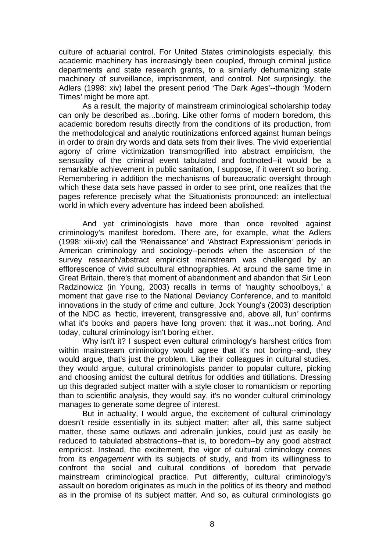culture of actuarial control. For United States criminologists especially, this academic machinery has increasingly been coupled, through criminal justice departments and state research grants, to a similarly dehumanizing state machinery of surveillance, imprisonment, and control. Not surprisingly, the Adlers (1998: xiv) label the present period *'*The Dark Ages*'*--though *'*Modern Times*'* might be more apt.

 As a result, the majority of mainstream criminological scholarship today can only be described as...boring. Like other forms of modern boredom, this academic boredom results directly from the conditions of its production, from the methodological and analytic routinizations enforced against human beings in order to drain dry words and data sets from their lives. The vivid experiential agony of crime victimization transmogrified into abstract empiricism, the sensuality of the criminal event tabulated and footnoted--it would be a remarkable achievement in public sanitation, I suppose, if it weren't so boring. Remembering in addition the mechanisms of bureaucratic oversight through which these data sets have passed in order to see print, one realizes that the pages reference precisely what the Situationists pronounced: an intellectual world in which every adventure has indeed been abolished.

And yet criminologists have more than once revolted against criminology's manifest boredom. There are, for example, what the Adlers (1998: xiii-xiv) call the *'*Renaissance*'* and *'*Abstract Expressionism*'* periods in American criminology and sociology--periods when the ascension of the survey research/abstract empiricist mainstream was challenged by an efflorescence of vivid subcultural ethnographies. At around the same time in Great Britain, there's that moment of abandonment and abandon that Sir Leon Radzinowicz (in Young, 2003) recalls in terms of *'*naughty schoolboys,*'* a moment that gave rise to the National Deviancy Conference, and to manifold innovations in the study of crime and culture. Jock Young's (2003) description of the NDC as *'*hectic, irreverent, transgressive and, above all, fun*'* confirms what it's books and papers have long proven: that it was...not boring. And today, cultural criminology isn't boring either.

Why isn't it? I suspect even cultural criminology's harshest critics from within mainstream criminology would agree that it's not boring--and, they would argue, that's just the problem. Like their colleagues in cultural studies, they would argue, cultural criminologists pander to popular culture, picking and choosing amidst the cultural detritus for oddities and titillations. Dressing up this degraded subject matter with a style closer to romanticism or reporting than to scientific analysis, they would say, it's no wonder cultural criminology manages to generate some degree of interest.

But in actuality, I would argue, the excitement of cultural criminology doesn't reside essentially in its subject matter; after all, this same subject matter, these same outlaws and adrenalin junkies, could just as easily be reduced to tabulated abstractions--that is, to boredom--by any good abstract empiricist. Instead, the excitement, the vigor of cultural criminology comes from its *engagement* with its subjects of study, and from its willingness to confront the social and cultural conditions of boredom that pervade mainstream criminological practice. Put differently, cultural criminology's assault on boredom originates as much in the politics of its theory and method as in the promise of its subject matter. And so, as cultural criminologists go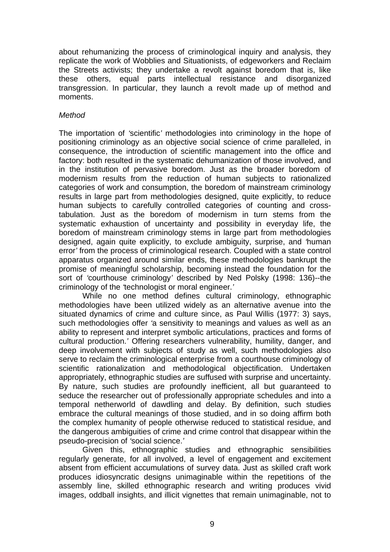about rehumanizing the process of criminological inquiry and analysis, they replicate the work of Wobblies and Situationists, of edgeworkers and Reclaim the Streets activists; they undertake a revolt against boredom that is, like these others, equal parts intellectual resistance and disorganized transgression. In particular, they launch a revolt made up of method and moments.

#### *Method*

The importation of *'*scientific*'* methodologies into criminology in the hope of positioning criminology as an objective social science of crime paralleled, in consequence, the introduction of scientific management into the office and factory: both resulted in the systematic dehumanization of those involved, and in the institution of pervasive boredom. Just as the broader boredom of modernism results from the reduction of human subjects to rationalized categories of work and consumption, the boredom of mainstream criminology results in large part from methodologies designed, quite explicitly, to reduce human subjects to carefully controlled categories of counting and crosstabulation. Just as the boredom of modernism in turn stems from the systematic exhaustion of uncertainty and possibility in everyday life, the boredom of mainstream criminology stems in large part from methodologies designed, again quite explicitly, to exclude ambiguity, surprise, and *'*human error*'* from the process of criminological research. Coupled with a state control apparatus organized around similar ends, these methodologies bankrupt the promise of meaningful scholarship, becoming instead the foundation for the sort of *'*courthouse criminology*'* described by Ned Polsky (1998: 136)--the criminology of the *'*technologist or moral engineer.*'*

While no one method defines cultural criminology, ethnographic methodologies have been utilized widely as an alternative avenue into the situated dynamics of crime and culture since, as Paul Willis (1977: 3) says, such methodologies offer *'*a sensitivity to meanings and values as well as an ability to represent and interpret symbolic articulations, practices and forms of cultural production.*'* Offering researchers vulnerability, humility, danger, and deep involvement with subjects of study as well, such methodologies also serve to reclaim the criminological enterprise from a courthouse criminology of scientific rationalization and methodological objectification. Undertaken appropriately, ethnographic studies are suffused with surprise and uncertainty. By nature, such studies are profoundly inefficient, all but guaranteed to seduce the researcher out of professionally appropriate schedules and into a temporal netherworld of dawdling and delay. By definition, such studies embrace the cultural meanings of those studied, and in so doing affirm both the complex humanity of people otherwise reduced to statistical residue, and the dangerous ambiguities of crime and crime control that disappear within the pseudo-precision of *'*social science.*'*

Given this, ethnographic studies and ethnographic sensibilities regularly generate, for all involved, a level of engagement and excitement absent from efficient accumulations of survey data. Just as skilled craft work produces idiosyncratic designs unimaginable within the repetitions of the assembly line, skilled ethnographic research and writing produces vivid images, oddball insights, and illicit vignettes that remain unimaginable, not to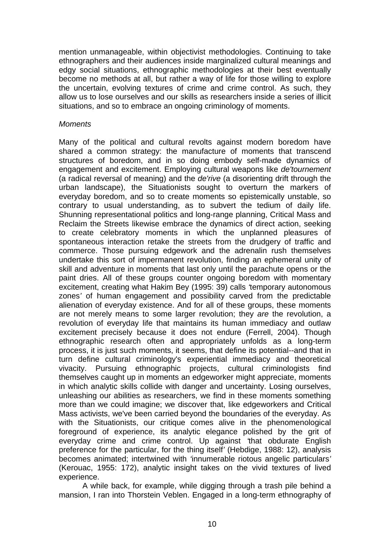mention unmanageable, within objectivist methodologies. Continuing to take ethnographers and their audiences inside marginalized cultural meanings and edgy social situations, ethnographic methodologies at their best eventually become no methods at all, but rather a way of life for those willing to explore the uncertain, evolving textures of crime and crime control. As such, they allow us to lose ourselves and our skills as researchers inside a series of illicit situations, and so to embrace an ongoing criminology of moments.

#### *Moments*

Many of the political and cultural revolts against modern boredom have shared a common strategy: the manufacture of moments that transcend structures of boredom, and in so doing embody self-made dynamics of engagement and excitement. Employing cultural weapons like *de'tournement* (a radical reversal of meaning) and the *de'rive* (a disorienting drift through the urban landscape), the Situationists sought to overturn the markers of everyday boredom, and so to create moments so epistemically unstable, so contrary to usual understanding, as to subvert the tedium of daily life. Shunning representational politics and long-range planning, Critical Mass and Reclaim the Streets likewise embrace the dynamics of direct action, seeking to create celebratory moments in which the unplanned pleasures of spontaneous interaction retake the streets from the drudgery of traffic and commerce. Those pursuing edgework and the adrenalin rush themselves undertake this sort of impermanent revolution, finding an ephemeral unity of skill and adventure in moments that last only until the parachute opens or the paint dries. All of these groups counter ongoing boredom with momentary excitement, creating what Hakim Bey (1995: 39) calls *'*temporary autonomous zones*'* of human engagement and possibility carved from the predictable alienation of everyday existence. And for all of these groups, these moments are not merely means to some larger revolution; they *are* the revolution, a revolution of everyday life that maintains its human immediacy and outlaw excitement precisely because it does not endure (Ferrell, 2004). Though ethnographic research often and appropriately unfolds as a long-term process, it is just such moments, it seems, that define its potential--and that in turn define cultural criminology's experiential immediacy and theoretical vivacity. Pursuing ethnographic projects, cultural criminologists find themselves caught up in moments an edgeworker might appreciate, moments in which analytic skills collide with danger and uncertainty. Losing ourselves, unleashing our abilities as researchers, we find in these moments something more than we could imagine; we discover that, like edgeworkers and Critical Mass activists, we've been carried beyond the boundaries of the everyday. As with the Situationists, our critique comes alive in the phenomenological foreground of experience, its analytic elegance polished by the grit of everyday crime and crime control. Up against *'*that obdurate English preference for the particular, for the thing itself*'* (Hebdige, 1988: 12), analysis becomes animated; intertwined with *'*innumerable riotous angelic particulars*'* (Kerouac, 1955: 172), analytic insight takes on the vivid textures of lived experience.

A while back, for example, while digging through a trash pile behind a mansion, I ran into Thorstein Veblen. Engaged in a long-term ethnography of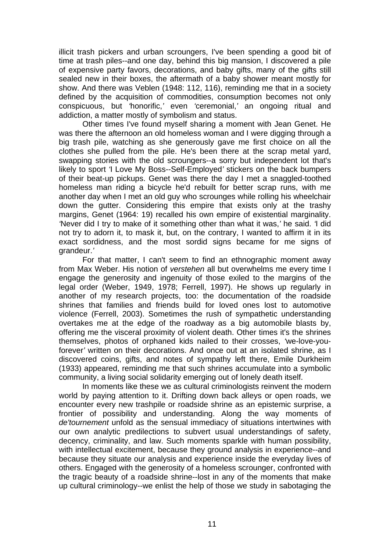illicit trash pickers and urban scroungers, I've been spending a good bit of time at trash piles--and one day, behind this big mansion, I discovered a pile of expensive party favors, decorations, and baby gifts, many of the gifts still sealed new in their boxes, the aftermath of a baby shower meant mostly for show. And there was Veblen (1948: 112, 116), reminding me that in a society defined by the acquisition of commodities, consumption becomes not only conspicuous, but *'*honorific,*'* even *'*ceremonial,*'* an ongoing ritual and addiction, a matter mostly of symbolism and status.

Other times I've found myself sharing a moment with Jean Genet. He was there the afternoon an old homeless woman and I were digging through a big trash pile, watching as she generously gave me first choice on all the clothes she pulled from the pile. He's been there at the scrap metal yard, swapping stories with the old scroungers--a sorry but independent lot that's likely to sport *'*I Love My Boss--Self-Employed*'* stickers on the back bumpers of their beat-up pickups. Genet was there the day I met a snaggled-toothed homeless man riding a bicycle he'd rebuilt for better scrap runs, with me another day when I met an old guy who scrounges while rolling his wheelchair down the gutter. Considering this empire that exists only at the trashy margins, Genet (1964: 19) recalled his own empire of existential marginality. *'*Never did I try to make of it something other than what it was,*'* he said. *'*I did not try to adorn it, to mask it, but, on the contrary, I wanted to affirm it in its exact sordidness, and the most sordid signs became for me signs of grandeur.*'*

For that matter, I can't seem to find an ethnographic moment away from Max Weber. His notion of *verstehen* all but overwhelms me every time I engage the generosity and ingenuity of those exiled to the margins of the legal order (Weber, 1949, 1978; Ferrell, 1997). He shows up regularly in another of my research projects, too: the documentation of the roadside shrines that families and friends build for loved ones lost to automotive violence (Ferrell, 2003). Sometimes the rush of sympathetic understanding overtakes me at the edge of the roadway as a big automobile blasts by, offering me the visceral proximity of violent death. Other times it's the shrines themselves, photos of orphaned kids nailed to their crosses, *'*we-love-youforever*'* written on their decorations. And once out at an isolated shrine, as I discovered coins, gifts, and notes of sympathy left there, Emile Durkheim (1933) appeared, reminding me that such shrines accumulate into a symbolic community, a living social solidarity emerging out of lonely death itself.

In moments like these we as cultural criminologists reinvent the modern world by paying attention to it. Drifting down back alleys or open roads, we encounter every new trashpile or roadside shrine as an epistemic surprise, a frontier of possibility and understanding. Along the way moments of *de'tournement* unfold as the sensual immediacy of situations intertwines with our own analytic predilections to subvert usual understandings of safety, decency, criminality, and law. Such moments sparkle with human possibility, with intellectual excitement, because they ground analysis in experience--and because they situate our analysis and experience inside the everyday lives of others. Engaged with the generosity of a homeless scrounger, confronted with the tragic beauty of a roadside shrine--lost in any of the moments that make up cultural criminology--we enlist the help of those we study in sabotaging the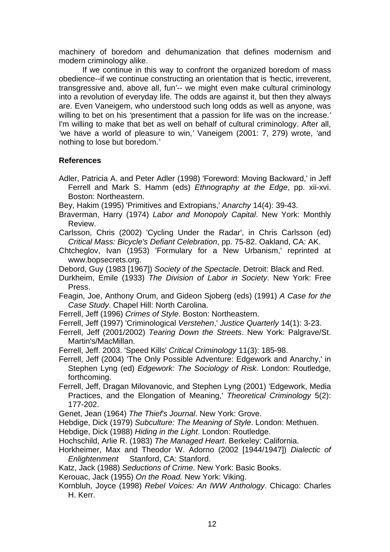machinery of boredom and dehumanization that defines modernism and modern criminology alike.

If we continue in this way to confront the organized boredom of mass obedience--if we continue constructing an orientation that is *'*hectic, irreverent, transgressive and, above all, fun*'*-- we might even make cultural criminology into a revolution of everyday life. The odds are against it, but then they always are. Even Vaneigem, who understood such long odds as well as anyone, was willing to bet on his *'*presentiment that a passion for life was on the increase.*'* I'm willing to make that bet as well on behalf of cultural criminology. After all, *'*we have a world of pleasure to win,*'* Vaneigem (2001: 7, 279) wrote, *'*and nothing to lose but boredom.*'*

### **References**

- Adler, Patricia A. and Peter Adler (1998) 'Foreword: Moving Backward,' in Jeff Ferrell and Mark S. Hamm (eds) *Ethnography at the Edge*, pp. xii-xvi. Boston: Northeastern.
- Bey, Hakim (1995) 'Primitives and Extropians,' *Anarchy* 14(4): 39-43.
- Braverman, Harry (1974) *Labor and Monopoly Capital*. New York: Monthly Review.

Carlsson, Chris (2002) 'Cycling Under the Radar', in Chris Carlsson (ed) *Critical Mass: Bicycle's Defiant Celebration*, pp. 75-82. Oakland, CA: AK.

Chtcheglov, Ivan (1953) 'Formulary for a New Urbanism,' reprinted at www.bopsecrets.org.

Debord, Guy (1983 [1967]) *Society of the Spectacle*. Detroit: Black and Red.

- Durkheim, Emile (1933) *The Division of Labor in Society*. New York: Free Press.
- Feagin, Joe, Anthony Orum, and Gideon Sjoberg (eds) (1991) *A Case for the Case Study*. Chapel Hill: North Carolina.
- Ferrell, Jeff (1996) *Crimes of Style*. Boston: Northeastern.

Ferrell, Jeff (1997) 'Criminological *Verstehen*,' *Justice Quarterly* 14(1): 3-23.

- Ferrell, Jeff (2001/2002) *Tearing Down the Streets*. New York: Palgrave/St. Martin's/MacMillan.
- Ferrell, Jeff. 2003. 'Speed Kills' *Critical Criminology* 11(3): 185-98.
- Ferrell, Jeff (2004) 'The Only Possible Adventure: Edgework and Anarchy,' in Stephen Lyng (ed) *Edgework: The Sociology of Risk*. London: Routledge, forthcoming.
- Ferrell, Jeff, Dragan Milovanovic, and Stephen Lyng (2001) 'Edgework, Media Practices, and the Elongation of Meaning,' *Theoretical Criminology* 5(2): 177-202.
- Genet, Jean (1964) *The Thief's Journal*. New York: Grove.
- Hebdige, Dick (1979) *Subculture: The Meaning of Style*. London: Methuen.

Hebdige, Dick (1988) *Hiding in the Light*. London: Routledge.

- Hochschild, Arlie R. (1983) *The Managed Heart*. Berkeley: California.
- Horkheimer, Max and Theodor W. Adorno (2002 [1944/1947]) *Dialectic of Enlightenment* Stanford, CA: Stanford.
- Katz, Jack (1988) *Seductions of Crime*. New York: Basic Books.
- Kerouac, Jack (1955) *On the Road.* New York: Viking.
- Kornbluh, Joyce (1998) *Rebel Voices: An IWW Anthology*. Chicago: Charles H. Kerr.